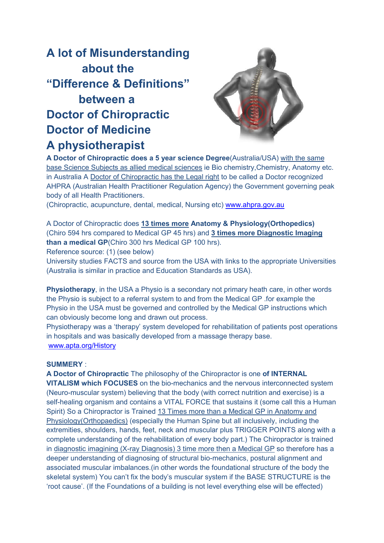## **A lot of Misunderstanding about the "Difference & Definitions efinitions" between a Doctor of Chiropractic Doctor of Medicine A physiotherapist hysiotherapist**



A Doctor of Chiropractic does a 5 year science Degree(Australia/USA) with the same base Science Subjects as allied medical sciences ie Bio chemistry, Chemistry, Anatomy etc. in Australia A <u>Doctor of Chiropractic has the Legal right</u> to be called a Doctor recognized AHPRA (Australian Health Practitioner Regulation Agency) the Governme Government governing peak body of all Health Practitioners.

(Chiropractic, acupuncture, dental, medical, Nursing etc) **[www.ahpra.gov.au](http://www.ahpra.gov.au/)** 

A Doctor of Chiropractic does **13 times more Anatomy & Physiology(Orthopedics) (Orthopedics)** (Chiro 594 hrs compared to Medical GP 45 hrs) and **3 times more Diagnostic Imaging more Diagnostic than a medical GP**(Chiro 300 hrs Medical GP 100 hrs).

Reference source: (1) (see below)

University studies FACTS and source from the USA with links to the appropriate Universities (Australia is similar in practice and Education Standards as USA).

**Physiotherapy**, in the USA a Physio is a secondary not primary heath care, in other words the Physio is subject to a referral system to and from the Medical GP .for example the Physio in the USA must be governed and controlled by the Medical GP instructions which can obviously become long and drawn out process. the Physio is subject to a referral system to and from the Medical GP .for example the<br>Physio in the USA must be governed and controlled by the Medical GP instructions which<br>can obviously become long and drawn out process.

in hospitals and was basically developed from a massage therapy base. [www.apta.org/History](http://www.apta.org/History)

## **SUMMERY** :

**A Doctor of Chiropractic** The philosophy of the Chiropractor is one **of INTERNAL VITALISM which FOCUSES** on the bio-mechanics and the nervous interconnected system (Neuro-muscular system) believing that the body (with correct nutrition and exercise) is a (Neuro-muscular system) believing that the body (with correct nutrition and exercise) is a<br>self-healing organism and contains a VITAL FORCE that sustains it (some call this a Human self-healing organism and contains a VITAL FORCE that sustains it (some call this a H<br>Spirit) So a Chiropractor is Trained <u>13 Times more than a Medical GP in Anatomy and</u> Spirit) So a Chiropractor is Trained <u>13 Times more than a Medical GP in Anatomy and</u><br><u>Physiology(Orthopaedics)</u> (especially the Human Spine but all inclusively, including the extremities, shoulders, hands, feet, neck and muscular plus TRIGGER POINTS along with a complete understanding of the rehabilitation of every body part.) The Chiropractor is trained in diagnostic imagining (X-ray Diagnosis) 3 time more then a Medical GP so therefore has a deeper understanding of diagnosing of structural bio-mechanics, postural alignment and associated muscular imbalances. (in other words the foundational structure of the body the complete understanding of the rehabilitation of every body part.) The Chiropractor is trained<br>in <u>diagnostic imagining (X-ray Diagnosis)</u> 3 time more then a Medical GP so therefore has a<br>deeper understanding of diagnosing 'root cause'. (If the Foundations of a building is not level everything else will be effected)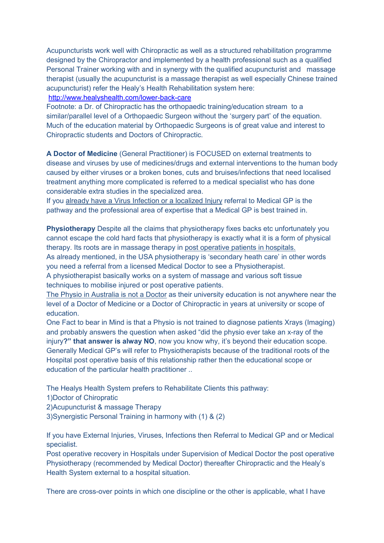Acupuncturists work well with Chiropractic as well as a structured rehabilitation programme designed by the Chiropractor and implemented by a health professional such as a qualified Personal Trainer working with and in synergy with the qualified acupuncturist and massage therapist (usually the acupuncturist is a massage therapist as well especially Chinese trained acupuncturist) refer the Healy's Health Rehabilitation system here:

## <http://www.healyshealth.com/lower-back-care>

Footnote: a Dr. of Chiropractic has the orthopaedic training/education stream to a similar/parallel level of a Orthopaedic Surgeon without the 'surgery part' of the equation. Much of the education material by Orthopaedic Surgeons is of great value and interest to Chiropractic students and Doctors of Chiropractic.

**A Doctor of Medicine** (General Practitioner) is FOCUSED on external treatments to disease and viruses by use of medicines/drugs and external interventions to the human body caused by either viruses or a broken bones, cuts and bruises/infections that need localised treatment anything more complicated is referred to a medical specialist who has done considerable extra studies in the specialized area.

If you already have a Virus Infection or a localized Injury referral to Medical GP is the pathway and the professional area of expertise that a Medical GP is best trained in.

**Physiotherapy** Despite all the claims that physiotherapy fixes backs etc unfortunately you cannot escape the cold hard facts that physiotherapy is exactly what it is a form of physical therapy. Its roots are in massage therapy in post operative patients in hospitals. As already mentioned, in the USA physiotherapy is 'secondary heath care' in other words you need a referral from a licensed Medical Doctor to see a Physiotherapist.

A physiotherapist basically works on a system of massage and various soft tissue techniques to mobilise injured or post operative patients.

The Physio in Australia is not a Doctor as their university education is not anywhere near the level of a Doctor of Medicine or a Doctor of Chiropractic in years at university or scope of education.

One Fact to bear in Mind is that a Physio is not trained to diagnose patients Xrays (Imaging) and probably answers the question when asked "did the physio ever take an x-ray of the injury**?" that answer is alway NO**, now you know why, it's beyond their education scope. Generally Medical GP's will refer to Physiotherapists because of the traditional roots of the Hospital post operative basis of this relationship rather then the educational scope or education of the particular health practitioner ..

The Healys Health System prefers to Rehabilitate Clients this pathway:

- 1)Doctor of Chiropratic
- 2)Acupuncturist & massage Therapy
- 3)Synergistic Personal Training in harmony with (1) & (2)

If you have External Injuries, Viruses, Infections then Referral to Medical GP and or Medical specialist.

Post operative recovery in Hospitals under Supervision of Medical Doctor the post operative Physiotherapy (recommended by Medical Doctor) thereafter Chiropractic and the Healy's Health System external to a hospital situation.

There are cross-over points in which one discipline or the other is applicable, what I have